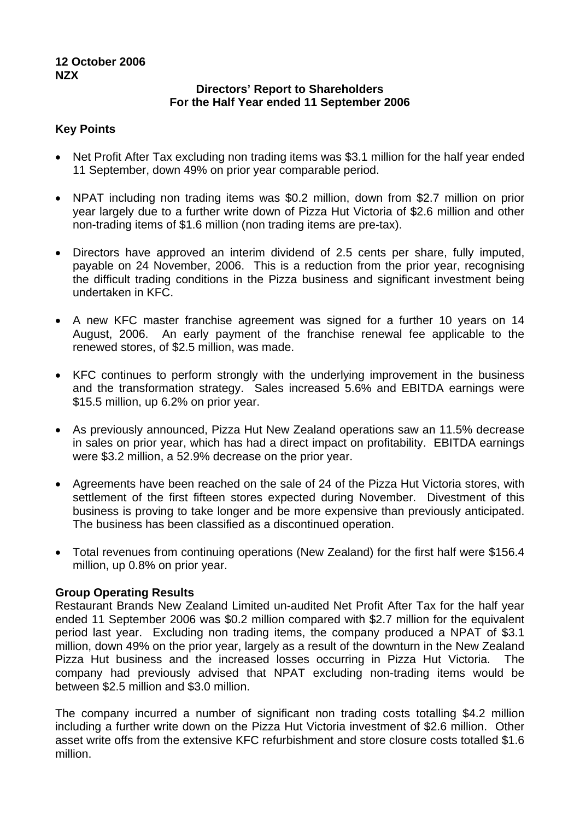# **12 October 2006 NZX**

# **Directors' Report to Shareholders For the Half Year ended 11 September 2006**

### **Key Points**

- Net Profit After Tax excluding non trading items was \$3.1 million for the half year ended 11 September, down 49% on prior year comparable period.
- NPAT including non trading items was \$0.2 million, down from \$2.7 million on prior year largely due to a further write down of Pizza Hut Victoria of \$2.6 million and other non-trading items of \$1.6 million (non trading items are pre-tax).
- Directors have approved an interim dividend of 2.5 cents per share, fully imputed, payable on 24 November, 2006. This is a reduction from the prior year, recognising the difficult trading conditions in the Pizza business and significant investment being undertaken in KFC.
- A new KFC master franchise agreement was signed for a further 10 years on 14 August, 2006. An early payment of the franchise renewal fee applicable to the renewed stores, of \$2.5 million, was made.
- KFC continues to perform strongly with the underlying improvement in the business and the transformation strategy. Sales increased 5.6% and EBITDA earnings were \$15.5 million, up 6.2% on prior year.
- As previously announced, Pizza Hut New Zealand operations saw an 11.5% decrease in sales on prior year, which has had a direct impact on profitability. EBITDA earnings were \$3.2 million, a 52.9% decrease on the prior year.
- Agreements have been reached on the sale of 24 of the Pizza Hut Victoria stores, with settlement of the first fifteen stores expected during November. Divestment of this business is proving to take longer and be more expensive than previously anticipated. The business has been classified as a discontinued operation.
- Total revenues from continuing operations (New Zealand) for the first half were \$156.4 million, up 0.8% on prior year.

# **Group Operating Results**

Restaurant Brands New Zealand Limited un-audited Net Profit After Tax for the half year ended 11 September 2006 was \$0.2 million compared with \$2.7 million for the equivalent period last year. Excluding non trading items, the company produced a NPAT of \$3.1 million, down 49% on the prior year, largely as a result of the downturn in the New Zealand Pizza Hut business and the increased losses occurring in Pizza Hut Victoria. The company had previously advised that NPAT excluding non-trading items would be between \$2.5 million and \$3.0 million.

The company incurred a number of significant non trading costs totalling \$4.2 million including a further write down on the Pizza Hut Victoria investment of \$2.6 million. Other asset write offs from the extensive KFC refurbishment and store closure costs totalled \$1.6 million.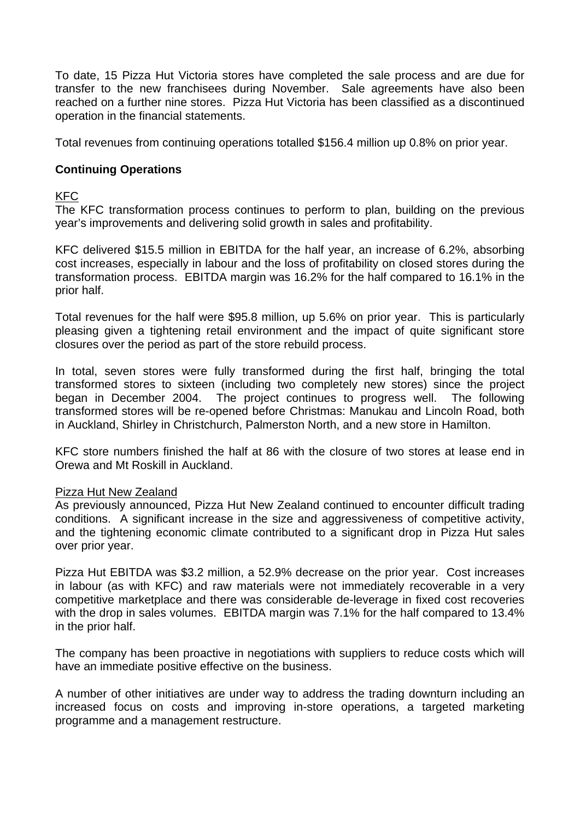To date, 15 Pizza Hut Victoria stores have completed the sale process and are due for transfer to the new franchisees during November. Sale agreements have also been reached on a further nine stores. Pizza Hut Victoria has been classified as a discontinued operation in the financial statements.

Total revenues from continuing operations totalled \$156.4 million up 0.8% on prior year.

# **Continuing Operations**

# KFC

The KFC transformation process continues to perform to plan, building on the previous year's improvements and delivering solid growth in sales and profitability.

KFC delivered \$15.5 million in EBITDA for the half year, an increase of 6.2%, absorbing cost increases, especially in labour and the loss of profitability on closed stores during the transformation process. EBITDA margin was 16.2% for the half compared to 16.1% in the prior half.

Total revenues for the half were \$95.8 million, up 5.6% on prior year. This is particularly pleasing given a tightening retail environment and the impact of quite significant store closures over the period as part of the store rebuild process.

In total, seven stores were fully transformed during the first half, bringing the total transformed stores to sixteen (including two completely new stores) since the project began in December 2004. The project continues to progress well. The following transformed stores will be re-opened before Christmas: Manukau and Lincoln Road, both in Auckland, Shirley in Christchurch, Palmerston North, and a new store in Hamilton.

KFC store numbers finished the half at 86 with the closure of two stores at lease end in Orewa and Mt Roskill in Auckland.

# Pizza Hut New Zealand

As previously announced, Pizza Hut New Zealand continued to encounter difficult trading conditions. A significant increase in the size and aggressiveness of competitive activity, and the tightening economic climate contributed to a significant drop in Pizza Hut sales over prior year.

Pizza Hut EBITDA was \$3.2 million, a 52.9% decrease on the prior year. Cost increases in labour (as with KFC) and raw materials were not immediately recoverable in a very competitive marketplace and there was considerable de-leverage in fixed cost recoveries with the drop in sales volumes. EBITDA margin was 7.1% for the half compared to 13.4% in the prior half.

The company has been proactive in negotiations with suppliers to reduce costs which will have an immediate positive effective on the business.

A number of other initiatives are under way to address the trading downturn including an increased focus on costs and improving in-store operations, a targeted marketing programme and a management restructure.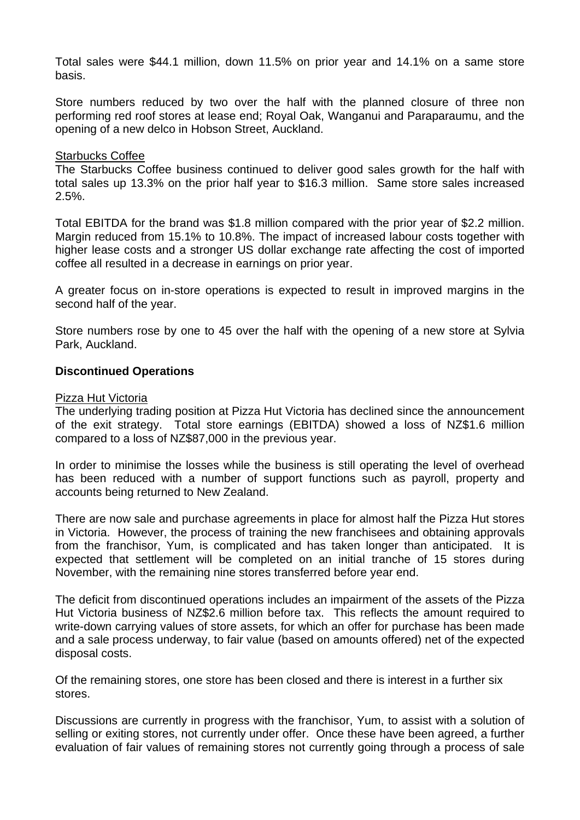Total sales were \$44.1 million, down 11.5% on prior year and 14.1% on a same store basis.

Store numbers reduced by two over the half with the planned closure of three non performing red roof stores at lease end; Royal Oak, Wanganui and Paraparaumu, and the opening of a new delco in Hobson Street, Auckland.

### Starbucks Coffee

The Starbucks Coffee business continued to deliver good sales growth for the half with total sales up 13.3% on the prior half year to \$16.3 million. Same store sales increased 2.5%.

Total EBITDA for the brand was \$1.8 million compared with the prior year of \$2.2 million. Margin reduced from 15.1% to 10.8%. The impact of increased labour costs together with higher lease costs and a stronger US dollar exchange rate affecting the cost of imported coffee all resulted in a decrease in earnings on prior year.

A greater focus on in-store operations is expected to result in improved margins in the second half of the year.

Store numbers rose by one to 45 over the half with the opening of a new store at Sylvia Park, Auckland.

### **Discontinued Operations**

#### Pizza Hut Victoria

The underlying trading position at Pizza Hut Victoria has declined since the announcement of the exit strategy. Total store earnings (EBITDA) showed a loss of NZ\$1.6 million compared to a loss of NZ\$87,000 in the previous year.

In order to minimise the losses while the business is still operating the level of overhead has been reduced with a number of support functions such as payroll, property and accounts being returned to New Zealand.

There are now sale and purchase agreements in place for almost half the Pizza Hut stores in Victoria. However, the process of training the new franchisees and obtaining approvals from the franchisor, Yum, is complicated and has taken longer than anticipated. It is expected that settlement will be completed on an initial tranche of 15 stores during November, with the remaining nine stores transferred before year end.

The deficit from discontinued operations includes an impairment of the assets of the Pizza Hut Victoria business of NZ\$2.6 million before tax. This reflects the amount required to write-down carrying values of store assets, for which an offer for purchase has been made and a sale process underway, to fair value (based on amounts offered) net of the expected disposal costs.

Of the remaining stores, one store has been closed and there is interest in a further six stores.

Discussions are currently in progress with the franchisor, Yum, to assist with a solution of selling or exiting stores, not currently under offer. Once these have been agreed, a further evaluation of fair values of remaining stores not currently going through a process of sale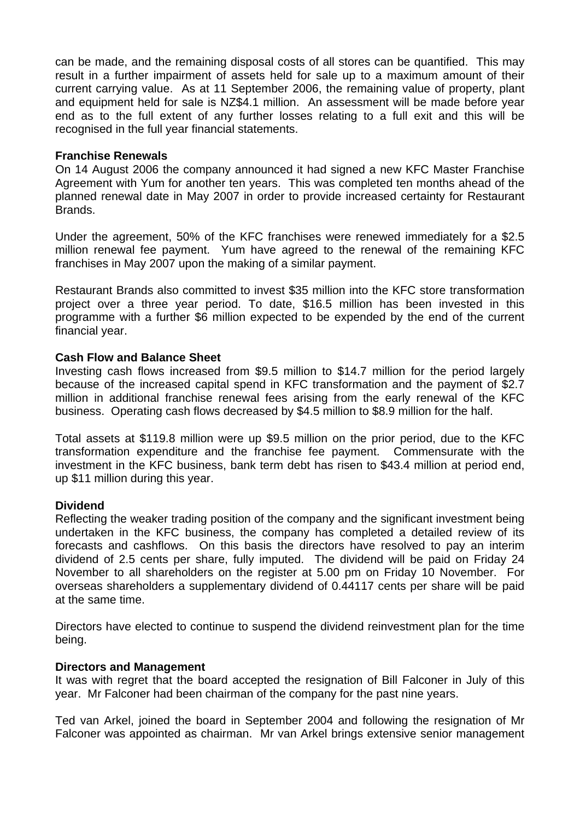can be made, and the remaining disposal costs of all stores can be quantified. This may result in a further impairment of assets held for sale up to a maximum amount of their current carrying value. As at 11 September 2006, the remaining value of property, plant and equipment held for sale is NZ\$4.1 million. An assessment will be made before year end as to the full extent of any further losses relating to a full exit and this will be recognised in the full year financial statements.

### **Franchise Renewals**

On 14 August 2006 the company announced it had signed a new KFC Master Franchise Agreement with Yum for another ten years. This was completed ten months ahead of the planned renewal date in May 2007 in order to provide increased certainty for Restaurant Brands.

Under the agreement, 50% of the KFC franchises were renewed immediately for a \$2.5 million renewal fee payment. Yum have agreed to the renewal of the remaining KFC franchises in May 2007 upon the making of a similar payment.

Restaurant Brands also committed to invest \$35 million into the KFC store transformation project over a three year period. To date, \$16.5 million has been invested in this programme with a further \$6 million expected to be expended by the end of the current financial year.

# **Cash Flow and Balance Sheet**

Investing cash flows increased from \$9.5 million to \$14.7 million for the period largely because of the increased capital spend in KFC transformation and the payment of \$2.7 million in additional franchise renewal fees arising from the early renewal of the KFC business. Operating cash flows decreased by \$4.5 million to \$8.9 million for the half.

Total assets at \$119.8 million were up \$9.5 million on the prior period, due to the KFC transformation expenditure and the franchise fee payment. Commensurate with the investment in the KFC business, bank term debt has risen to \$43.4 million at period end, up \$11 million during this year.

# **Dividend**

Reflecting the weaker trading position of the company and the significant investment being undertaken in the KFC business, the company has completed a detailed review of its forecasts and cashflows. On this basis the directors have resolved to pay an interim dividend of 2.5 cents per share, fully imputed. The dividend will be paid on Friday 24 November to all shareholders on the register at 5.00 pm on Friday 10 November. For overseas shareholders a supplementary dividend of 0.44117 cents per share will be paid at the same time.

Directors have elected to continue to suspend the dividend reinvestment plan for the time being.

### **Directors and Management**

It was with regret that the board accepted the resignation of Bill Falconer in July of this year. Mr Falconer had been chairman of the company for the past nine years.

Ted van Arkel, joined the board in September 2004 and following the resignation of Mr Falconer was appointed as chairman. Mr van Arkel brings extensive senior management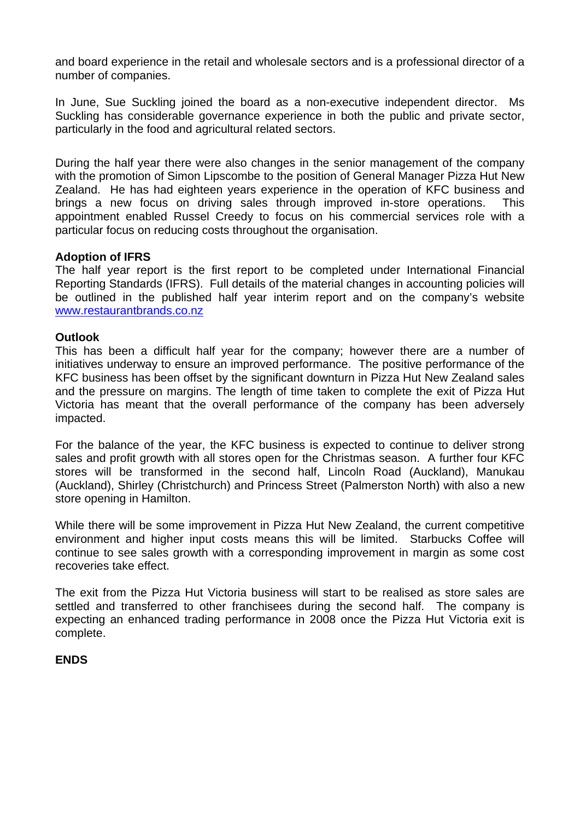and board experience in the retail and wholesale sectors and is a professional director of a number of companies.

In June, Sue Suckling joined the board as a non-executive independent director. Ms Suckling has considerable governance experience in both the public and private sector, particularly in the food and agricultural related sectors.

During the half year there were also changes in the senior management of the company with the promotion of Simon Lipscombe to the position of General Manager Pizza Hut New Zealand. He has had eighteen years experience in the operation of KFC business and brings a new focus on driving sales through improved in-store operations. This appointment enabled Russel Creedy to focus on his commercial services role with a particular focus on reducing costs throughout the organisation.

# **Adoption of IFRS**

The half year report is the first report to be completed under International Financial Reporting Standards (IFRS). Full details of the material changes in accounting policies will be outlined in the published half year interim report and on the company's website [www.restaurantbrands.co.nz](http://www.restaurantbrands.co.nz/) 

### **Outlook**

This has been a difficult half year for the company; however there are a number of initiatives underway to ensure an improved performance. The positive performance of the KFC business has been offset by the significant downturn in Pizza Hut New Zealand sales and the pressure on margins. The length of time taken to complete the exit of Pizza Hut Victoria has meant that the overall performance of the company has been adversely impacted.

For the balance of the year, the KFC business is expected to continue to deliver strong sales and profit growth with all stores open for the Christmas season. A further four KFC stores will be transformed in the second half, Lincoln Road (Auckland), Manukau (Auckland), Shirley (Christchurch) and Princess Street (Palmerston North) with also a new store opening in Hamilton.

While there will be some improvement in Pizza Hut New Zealand, the current competitive environment and higher input costs means this will be limited. Starbucks Coffee will continue to see sales growth with a corresponding improvement in margin as some cost recoveries take effect.

The exit from the Pizza Hut Victoria business will start to be realised as store sales are settled and transferred to other franchisees during the second half. The company is expecting an enhanced trading performance in 2008 once the Pizza Hut Victoria exit is complete.

# **ENDS**